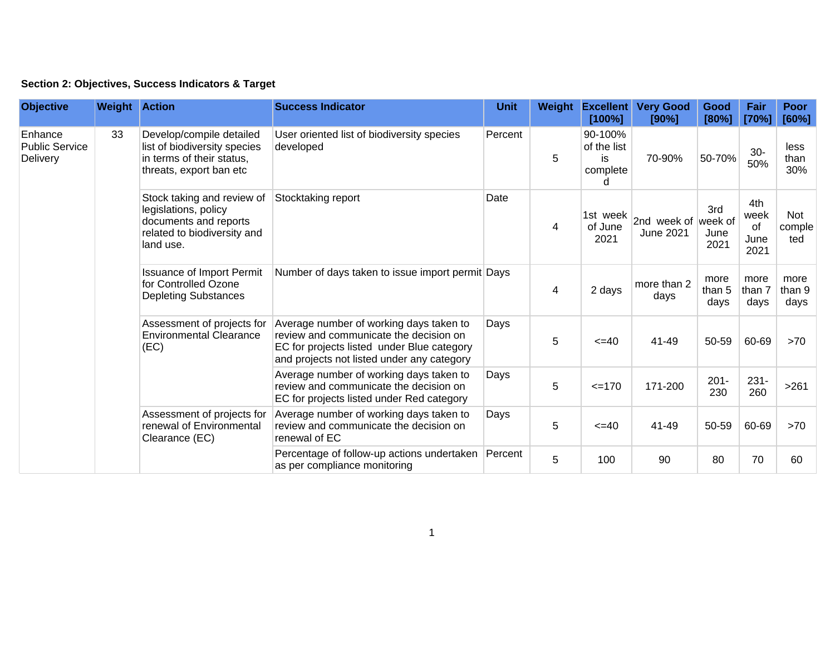| Section 2: Objectives, Success Indicators & Target |  |  |  |  |  |  |
|----------------------------------------------------|--|--|--|--|--|--|
|----------------------------------------------------|--|--|--|--|--|--|

| <b>Objective</b>                                    | <b>Weight Action</b> |                                                                                                                         | <b>Success Indicator</b>                                                                | <b>Unit</b>                                                                                                                                                                   | Weight | <b>Excellent</b><br>[100%]                    | <b>Very Good</b><br>[90%]                                                          | Good<br>[80%]       | Fair<br>[70%]                                                            | <b>Poor</b><br>[60%]                                                                               |                        |                                                                                                                                |             |       |        |         |                |                |      |
|-----------------------------------------------------|----------------------|-------------------------------------------------------------------------------------------------------------------------|-----------------------------------------------------------------------------------------|-------------------------------------------------------------------------------------------------------------------------------------------------------------------------------|--------|-----------------------------------------------|------------------------------------------------------------------------------------|---------------------|--------------------------------------------------------------------------|----------------------------------------------------------------------------------------------------|------------------------|--------------------------------------------------------------------------------------------------------------------------------|-------------|-------|--------|---------|----------------|----------------|------|
| Enhance<br><b>Public Service</b><br><b>Delivery</b> | 33                   | Develop/compile detailed<br>list of biodiversity species<br>in terms of their status,<br>threats, export ban etc        | User oriented list of biodiversity species<br>developed                                 | Percent                                                                                                                                                                       | 5      | 90-100%<br>of the list<br>is<br>complete<br>d | 70-90%                                                                             | 50-70%              | $30-$<br>50%                                                             | less<br>than<br>30%                                                                                |                        |                                                                                                                                |             |       |        |         |                |                |      |
|                                                     |                      | Stock taking and review of<br>legislations, policy<br>documents and reports<br>related to biodiversity and<br>land use. | Stocktaking report                                                                      | Date                                                                                                                                                                          | 4      | 1st week<br>of June<br>2021                   | 2nd week of week of<br><b>June 2021</b>                                            | 3rd<br>June<br>2021 | 4th<br>week<br>of<br>June<br>2021                                        | Not<br>comple<br>ted                                                                               |                        |                                                                                                                                |             |       |        |         |                |                |      |
|                                                     |                      |                                                                                                                         | <b>Issuance of Import Permit</b><br>for Controlled Ozone<br><b>Depleting Substances</b> | Number of days taken to issue import permit Days                                                                                                                              |        | 4                                             | 2 days                                                                             | more than 2<br>days | more<br>than 5<br>days                                                   | more<br>than 7<br>days                                                                             | more<br>than 9<br>days |                                                                                                                                |             |       |        |         |                |                |      |
|                                                     |                      |                                                                                                                         | Assessment of projects for<br><b>Environmental Clearance</b><br>(EC)                    | Average number of working days taken to<br>review and communicate the decision on<br>EC for projects listed under Blue category<br>and projects not listed under any category | Days   | 5                                             | $=40$                                                                              | 41-49               | 50-59                                                                    | 60-69                                                                                              | >70                    |                                                                                                                                |             |       |        |         |                |                |      |
|                                                     |                      |                                                                                                                         |                                                                                         |                                                                                                                                                                               |        |                                               |                                                                                    |                     |                                                                          |                                                                                                    |                        | Average number of working days taken to<br>review and communicate the decision on<br>EC for projects listed under Red category | Days        | 5     | $=170$ | 171-200 | $201 -$<br>230 | $231 -$<br>260 | >261 |
|                                                     |                      |                                                                                                                         |                                                                                         |                                                                                                                                                                               |        |                                               |                                                                                    |                     | Assessment of projects for<br>renewal of Environmental<br>Clearance (EC) | Average number of working days taken to<br>review and communicate the decision on<br>renewal of EC | Days                   | 5                                                                                                                              | $\leq$ = 40 | 41-49 | 50-59  | 60-69   | >70            |                |      |
|                                                     |                      |                                                                                                                         |                                                                                         |                                                                                                                                                                               |        |                                               | Percentage of follow-up actions undertaken Percent<br>as per compliance monitoring |                     | 5                                                                        | 100                                                                                                | 90                     | 80                                                                                                                             | 70          | 60    |        |         |                |                |      |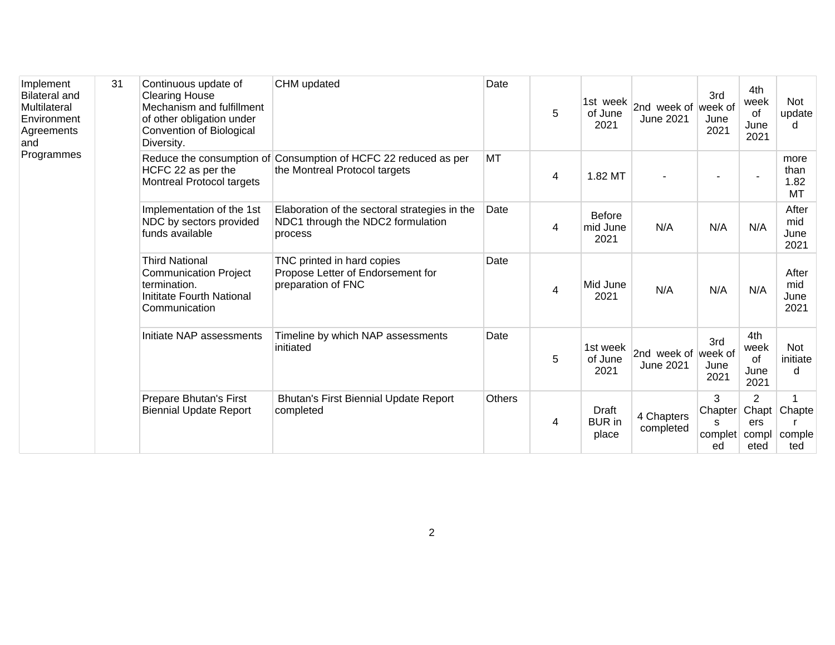| Implement<br><b>Bilateral and</b><br>Multilateral<br>Environment<br>Agreements<br>and<br>Programmes | 31 | Continuous update of<br><b>Clearing House</b><br>Mechanism and fulfillment<br>of other obligation under<br>Convention of Biological<br>Diversity. | CHM updated                                                                                      | Date          | 5 | 1st week<br>of June<br>2021       | 2nd week of week of<br><b>June 2021</b> | 3rd<br>June<br>2021                      | 4th<br>week<br>of<br>June<br>2021 | Not<br>update<br>d            |
|-----------------------------------------------------------------------------------------------------|----|---------------------------------------------------------------------------------------------------------------------------------------------------|--------------------------------------------------------------------------------------------------|---------------|---|-----------------------------------|-----------------------------------------|------------------------------------------|-----------------------------------|-------------------------------|
|                                                                                                     |    | HCFC 22 as per the<br>Montreal Protocol targets                                                                                                   | Reduce the consumption of Consumption of HCFC 22 reduced as per<br>the Montreal Protocol targets | <b>MT</b>     | 4 | 1.82 MT                           |                                         |                                          |                                   | more<br>than<br>1.82<br>MT    |
|                                                                                                     |    | Implementation of the 1st<br>NDC by sectors provided<br>funds available                                                                           | Elaboration of the sectoral strategies in the<br>NDC1 through the NDC2 formulation<br>process    | Date          | 4 | <b>Before</b><br>mid June<br>2021 | N/A                                     | N/A                                      | N/A                               | After<br>mid<br>June<br>2021  |
|                                                                                                     |    | <b>Third National</b><br><b>Communication Project</b><br>termination.<br>Inititate Fourth National<br>Communication                               | TNC printed in hard copies<br>Propose Letter of Endorsement for<br>preparation of FNC            | Date          | 4 | Mid June<br>2021                  | N/A                                     | N/A                                      | N/A                               | After<br>mid<br>June<br>2021  |
|                                                                                                     |    | Initiate NAP assessments                                                                                                                          | Timeline by which NAP assessments<br>initiated                                                   | Date          | 5 | 1st week<br>of June<br>2021       | 2nd week of week of<br><b>June 2021</b> | 3rd<br>June<br>2021                      | 4th<br>week<br>of<br>June<br>2021 | <b>Not</b><br>initiate<br>d   |
|                                                                                                     |    | Prepare Bhutan's First<br><b>Biennial Update Report</b>                                                                                           | Bhutan's First Biennial Update Report<br>completed                                               | <b>Others</b> | 4 | Draft<br><b>BUR</b> in<br>place   | 4 Chapters<br>completed                 | 3<br>Chapter<br>S<br>complet compl<br>ed | $\overline{2}$<br>ers<br>eted     | Chapt Chapte<br>comple<br>ted |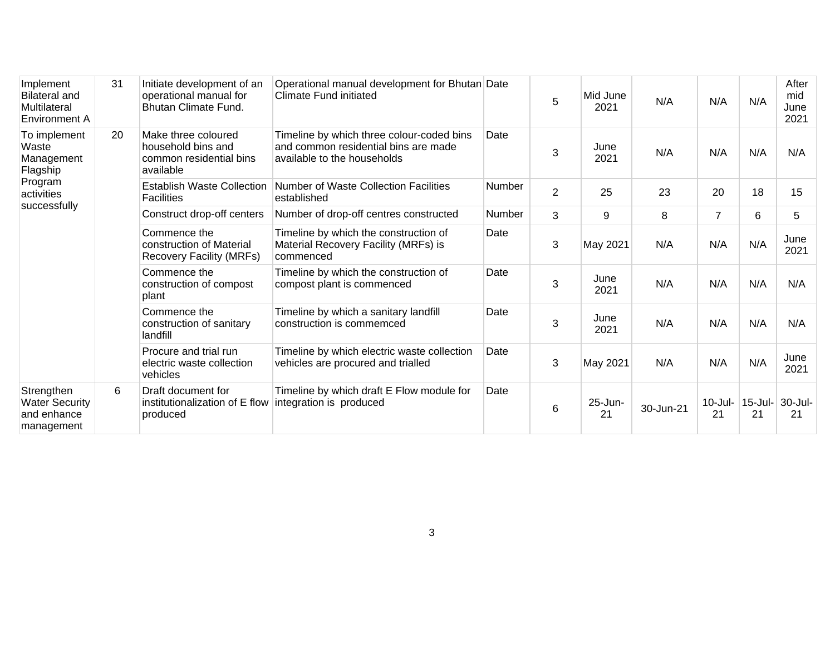| Implement<br><b>Bilateral and</b><br>Multilateral<br>Environment A       | 31 | Initiate development of an<br>operational manual for<br><b>Bhutan Climate Fund.</b> | Operational manual development for Bhutan Date<br>Climate Fund initiated                                         |                                                                    | 5              | Mid June<br>2021 | N/A          | N/A              | N/A              | After<br>mid<br>June<br>2021 |     |
|--------------------------------------------------------------------------|----|-------------------------------------------------------------------------------------|------------------------------------------------------------------------------------------------------------------|--------------------------------------------------------------------|----------------|------------------|--------------|------------------|------------------|------------------------------|-----|
| To implement<br>Waste<br>Management<br>Flagship<br>Program<br>activities | 20 | Make three coloured<br>household bins and<br>common residential bins<br>available   | Timeline by which three colour-coded bins<br>and common residential bins are made<br>available to the households | Date                                                               | 3              | June<br>2021     | N/A          | N/A              | N/A              | N/A                          |     |
|                                                                          |    | <b>Establish Waste Collection</b><br><b>Facilities</b>                              | Number of Waste Collection Facilities<br>established                                                             | <b>Number</b>                                                      | $\overline{2}$ | 25               | 23           | 20               | 18               | 15                           |     |
| successfully                                                             |    | Construct drop-off centers                                                          | Number of drop-off centres constructed                                                                           | Number                                                             | 3              | 9                | 8            | $\overline{7}$   | 6                | 5                            |     |
|                                                                          |    | Commence the<br>construction of Material<br>Recovery Facility (MRFs)                | Timeline by which the construction of<br>Material Recovery Facility (MRFs) is<br>commenced                       | Date                                                               | 3              | May 2021         | N/A          | N/A              | N/A              | June<br>2021                 |     |
|                                                                          |    | Commence the<br>construction of compost<br>plant                                    | Timeline by which the construction of<br>compost plant is commenced                                              | Date                                                               | 3              | June<br>2021     | N/A          | N/A              | N/A              | N/A                          |     |
|                                                                          |    |                                                                                     | Commence the<br>construction of sanitary<br>landfill                                                             | Timeline by which a sanitary landfill<br>construction is commemced | Date           | 3                | June<br>2021 | N/A              | N/A              | N/A                          | N/A |
|                                                                          |    | Procure and trial run<br>electric waste collection<br>vehicles                      | Timeline by which electric waste collection<br>vehicles are procured and trialled                                | Date                                                               | 3              | May 2021         | N/A          | N/A              | N/A              | June<br>2021                 |     |
| Strengthen<br><b>Water Security</b><br>and enhance<br>management         | 6  | Draft document for<br>institutionalization of E flow<br>produced                    | Timeline by which draft E Flow module for<br>integration is produced                                             | Date                                                               | 6              | 25-Jun-<br>21    | 30-Jun-21    | $10$ -Jul-<br>21 | $15$ -Jul-<br>21 | 30-Jul-<br>21                |     |